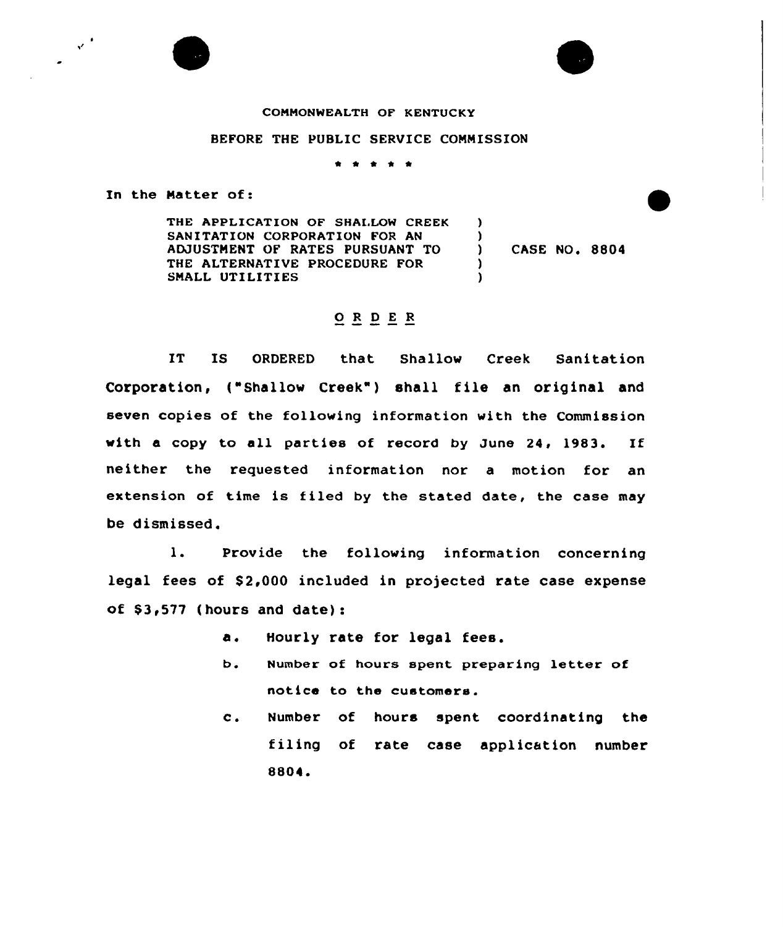## CONHONWEALTH OF KENTUCKY

## BEFORE THE PUBLIC SERVICE CONNISSION

t \* \*

In the Natter of:

THE APPLICATION OF SHALLOW CREEK SANITATION CORPORATION FOR AN ADJUSTNENT OF RATES PURSUANT TO THE ALTERNATIVE PROCEDURE FOR SMALL UTILITIES  $\lambda$ 

) CASE NO. 8804

) )<br>)

)

## 0 <sup>R</sup> <sup>D</sup> <sup>E</sup> <sup>R</sup>

IT IS ORDERED that Shallow Creek Sanitation Corporation, ("Shallow Creek") shall file an original and seven copies of the following information with the Commission with a copy to all parties of record by June 24, 1983. If neither the requested information nor a motion for an extension of time is filed by the stated date, the case may be dismissed.

1. Provide the following information concerning legal fees of \$2,000 included in projected rate case expense of  $$3,577$  (hours and date):

- $\Delta$ . Hourly rate for legal fees.
- $b<sub>1</sub>$ Number of hours spent preparing letter of notice to the customers.
- $c$ . Number of hours spent coordinating the filing of rate case application number 8804.



 $\mathcal{L}^{(4)}$